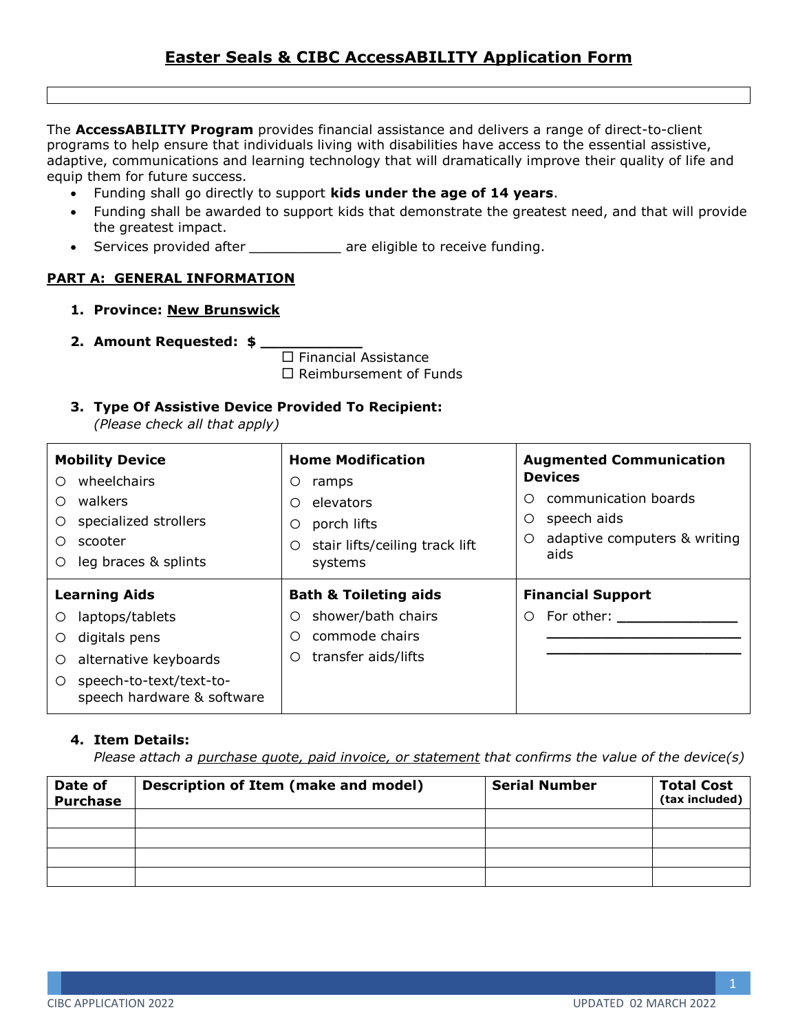# **Easter Seals & CIBC AccessABILITY Application Form**

The **AccessABILITY Program** provides financial assistance and delivers a range of direct-to-client programs to help ensure that individuals living with disabilities have access to the essential assistive, adaptive, communications and learning technology that will dramatically improve their quality of life and equip them for future success.

- Funding shall go directly to support **kids under the age of 14 years**.
- Funding shall be awarded to support kids that demonstrate the greatest need, and that will provide the greatest impact.
- Services provided after *\_\_\_\_\_\_\_\_\_\_\_* are eligible to receive funding.

## **PART A: GENERAL INFORMATION**

- **1. Province: New Brunswick**
- **2. Amount Requested: \$ \_\_\_\_\_\_\_\_\_\_\_**

 $\square$  Financial Assistance  $\square$  Reimbursement of Funds

**3. Type Of Assistive Device Provided To Recipient:**

*(Please check all that apply)*

| <b>Mobility Device</b>                                                             | <b>Home Modification</b>                                                                                       | <b>Augmented Communication</b>                                                                               |  |
|------------------------------------------------------------------------------------|----------------------------------------------------------------------------------------------------------------|--------------------------------------------------------------------------------------------------------------|--|
| wheelchairs<br>walkers<br>specialized strollers<br>scooter<br>leg braces & splints | O<br>ramps<br>elevators<br>$\circ$<br>porch lifts<br>O<br>stair lifts/ceiling track lift<br>$\circ$<br>systems | <b>Devices</b><br>communication boards<br>O<br>speech aids<br>O<br>adaptive computers & writing<br>O<br>aids |  |
|                                                                                    |                                                                                                                |                                                                                                              |  |
| <b>Learning Aids</b>                                                               | <b>Bath &amp; Toileting aids</b>                                                                               | <b>Financial Support</b>                                                                                     |  |
| laptops/tablets                                                                    | shower/bath chairs<br>O                                                                                        | For other:<br>O                                                                                              |  |
| digitals pens                                                                      | commode chairs<br>$\circ$                                                                                      |                                                                                                              |  |
| alternative keyboards<br>O                                                         | transfer aids/lifts<br>$\circ$                                                                                 |                                                                                                              |  |

## **4. Item Details:**

*Please attach a purchase quote, paid invoice, or statement that confirms the value of the device(s)*

| Date of<br><b>Purchase</b> | Description of Item (make and model) | <b>Serial Number</b> | <b>Total Cost</b><br>$(tax$ included) |
|----------------------------|--------------------------------------|----------------------|---------------------------------------|
|                            |                                      |                      |                                       |
|                            |                                      |                      |                                       |
|                            |                                      |                      |                                       |
|                            |                                      |                      |                                       |